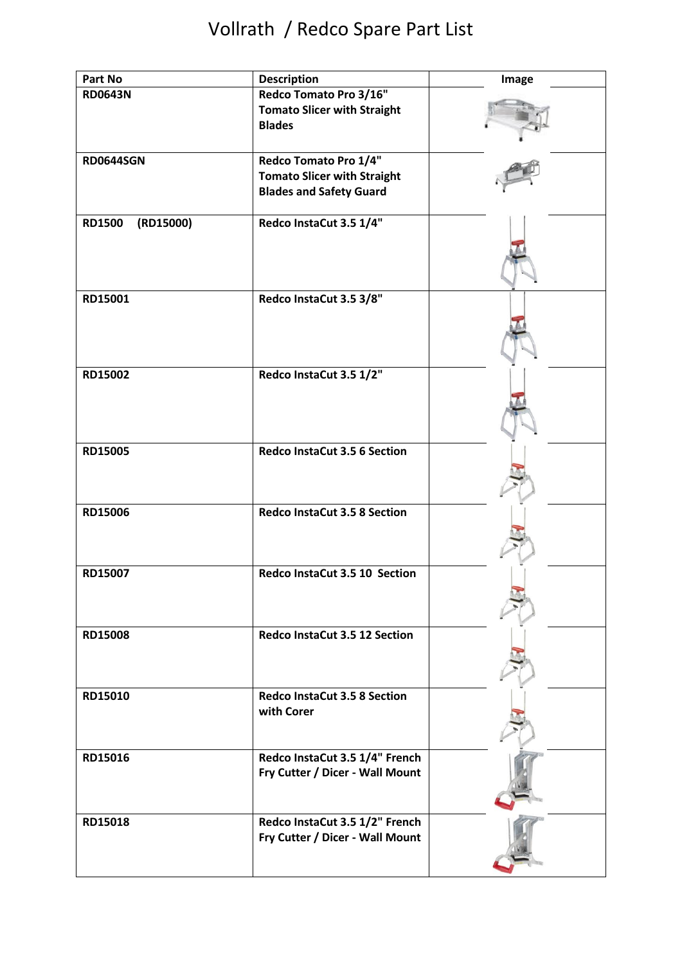| Part No                    | <b>Description</b>                                                                            | Image |
|----------------------------|-----------------------------------------------------------------------------------------------|-------|
| <b>RD0643N</b>             | Redco Tomato Pro 3/16"<br><b>Tomato Slicer with Straight</b><br><b>Blades</b>                 |       |
| <b>RD0644SGN</b>           | Redco Tomato Pro 1/4"<br><b>Tomato Slicer with Straight</b><br><b>Blades and Safety Guard</b> |       |
| (RD15000)<br><b>RD1500</b> | Redco InstaCut 3.5 1/4"                                                                       |       |
| RD15001                    | Redco InstaCut 3.5 3/8"                                                                       |       |
| RD15002                    | Redco InstaCut 3.5 1/2"                                                                       |       |
| RD15005                    | <b>Redco InstaCut 3.5 6 Section</b>                                                           |       |
| RD15006                    | <b>Redco InstaCut 3.5 8 Section</b>                                                           |       |
| RD15007                    | Redco InstaCut 3.5 10 Section                                                                 |       |
| <b>RD15008</b>             | Redco InstaCut 3.5 12 Section                                                                 |       |
| RD15010                    | <b>Redco InstaCut 3.5 8 Section</b><br>with Corer                                             |       |
| RD15016                    | Redco InstaCut 3.5 1/4" French<br>Fry Cutter / Dicer - Wall Mount                             |       |
| RD15018                    | Redco InstaCut 3.5 1/2" French<br>Fry Cutter / Dicer - Wall Mount                             |       |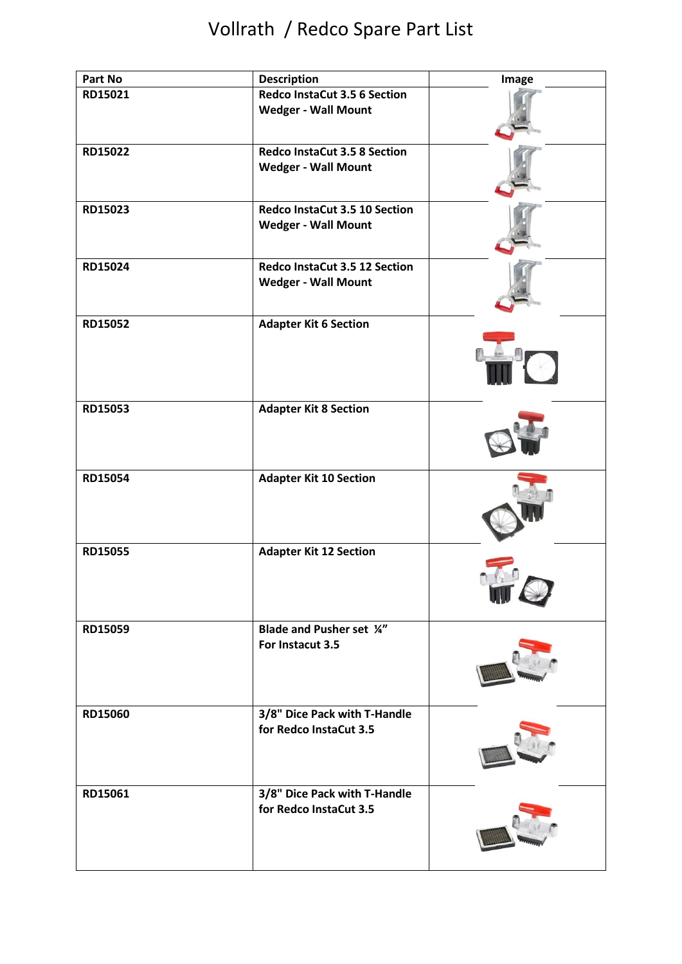| Part No | <b>Description</b>                                                | Image |
|---------|-------------------------------------------------------------------|-------|
| RD15021 | <b>Redco InstaCut 3.5 6 Section</b><br><b>Wedger - Wall Mount</b> |       |
| RD15022 | <b>Redco InstaCut 3.5 8 Section</b><br><b>Wedger - Wall Mount</b> |       |
| RD15023 | Redco InstaCut 3.5 10 Section<br><b>Wedger - Wall Mount</b>       |       |
| RD15024 | Redco InstaCut 3.5 12 Section<br><b>Wedger - Wall Mount</b>       |       |
| RD15052 | <b>Adapter Kit 6 Section</b>                                      |       |
| RD15053 | <b>Adapter Kit 8 Section</b>                                      |       |
| RD15054 | <b>Adapter Kit 10 Section</b>                                     |       |
| RD15055 | <b>Adapter Kit 12 Section</b>                                     |       |
| RD15059 | <b>Blade and Pusher set 1/4"</b><br>For Instacut 3.5              |       |
| RD15060 | 3/8" Dice Pack with T-Handle<br>for Redco InstaCut 3.5            |       |
| RD15061 | 3/8" Dice Pack with T-Handle<br>for Redco InstaCut 3.5            |       |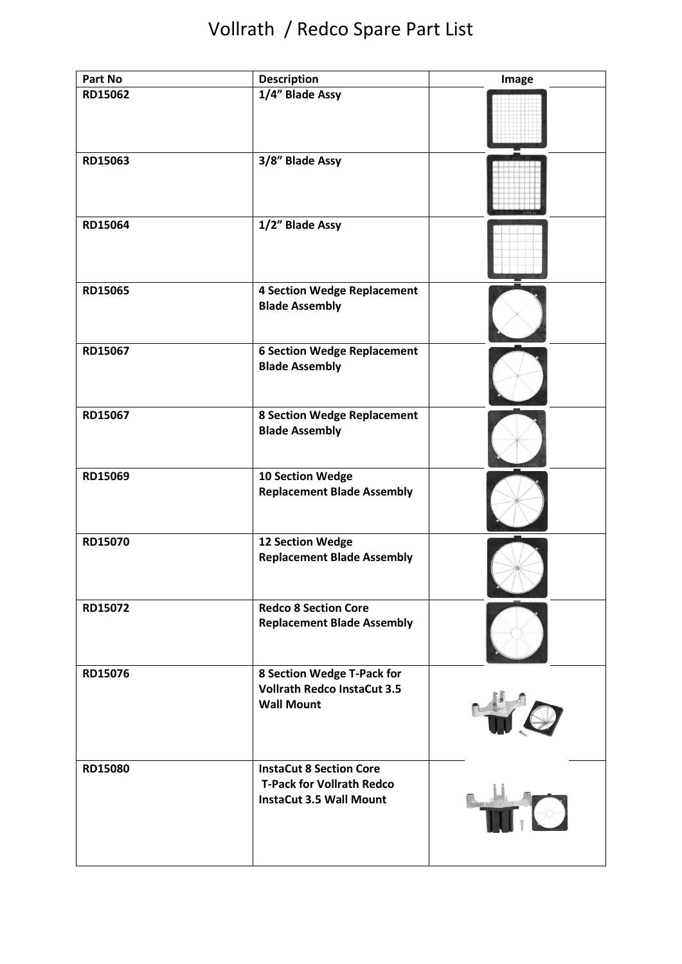| Part No | <b>Description</b>                                                                                   | Image          |
|---------|------------------------------------------------------------------------------------------------------|----------------|
| RD15062 | 1/4" Blade Assy                                                                                      |                |
| RD15063 | 3/8" Blade Assy                                                                                      |                |
| RD15064 | 1/2" Blade Assy                                                                                      |                |
| RD15065 | <b>4 Section Wedge Replacement</b><br><b>Blade Assembly</b>                                          |                |
| RD15067 | <b>6 Section Wedge Replacement</b><br><b>Blade Assembly</b>                                          |                |
| RD15067 | <b>8 Section Wedge Replacement</b><br><b>Blade Assembly</b>                                          |                |
| RD15069 | 10 Section Wedge<br><b>Replacement Blade Assembly</b>                                                |                |
| RD15070 | 12 Section Wedge<br><b>Replacement Blade Assembly</b>                                                |                |
| RD15072 | <b>Redco 8 Section Core</b><br><b>Replacement Blade Assembly</b>                                     |                |
| RD15076 | 8 Section Wedge T-Pack for<br><b>Vollrath Redco InstaCut 3.5</b><br><b>Wall Mount</b>                | 40             |
| RD15080 | <b>InstaCut 8 Section Core</b><br><b>T-Pack for Vollrath Redco</b><br><b>InstaCut 3.5 Wall Mount</b> | $\blacksquare$ |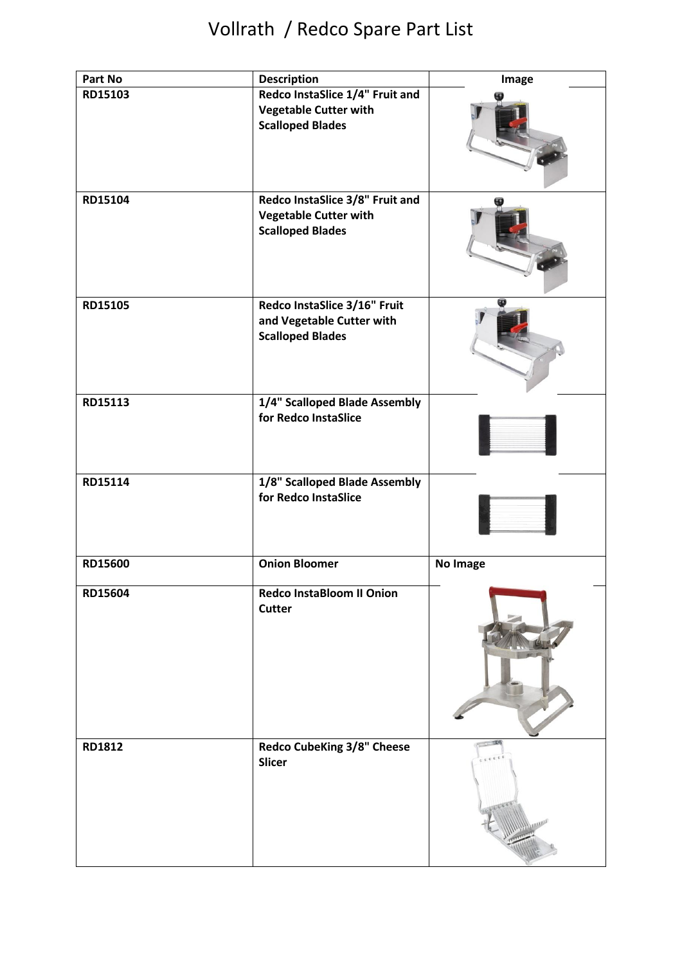| Part No | <b>Description</b>                                                                         | Image    |
|---------|--------------------------------------------------------------------------------------------|----------|
| RD15103 | Redco InstaSlice 1/4" Fruit and<br><b>Vegetable Cutter with</b><br><b>Scalloped Blades</b> |          |
| RD15104 | Redco InstaSlice 3/8" Fruit and<br><b>Vegetable Cutter with</b><br><b>Scalloped Blades</b> |          |
| RD15105 | Redco InstaSlice 3/16" Fruit<br>and Vegetable Cutter with<br><b>Scalloped Blades</b>       |          |
| RD15113 | 1/4" Scalloped Blade Assembly<br>for Redco InstaSlice                                      |          |
| RD15114 | 1/8" Scalloped Blade Assembly<br>for Redco InstaSlice                                      |          |
| RD15600 | <b>Onion Bloomer</b>                                                                       | No Image |
| RD15604 | <b>Redco InstaBloom II Onion</b><br><b>Cutter</b>                                          |          |
| RD1812  | <b>Redco CubeKing 3/8" Cheese</b><br>Slicer                                                |          |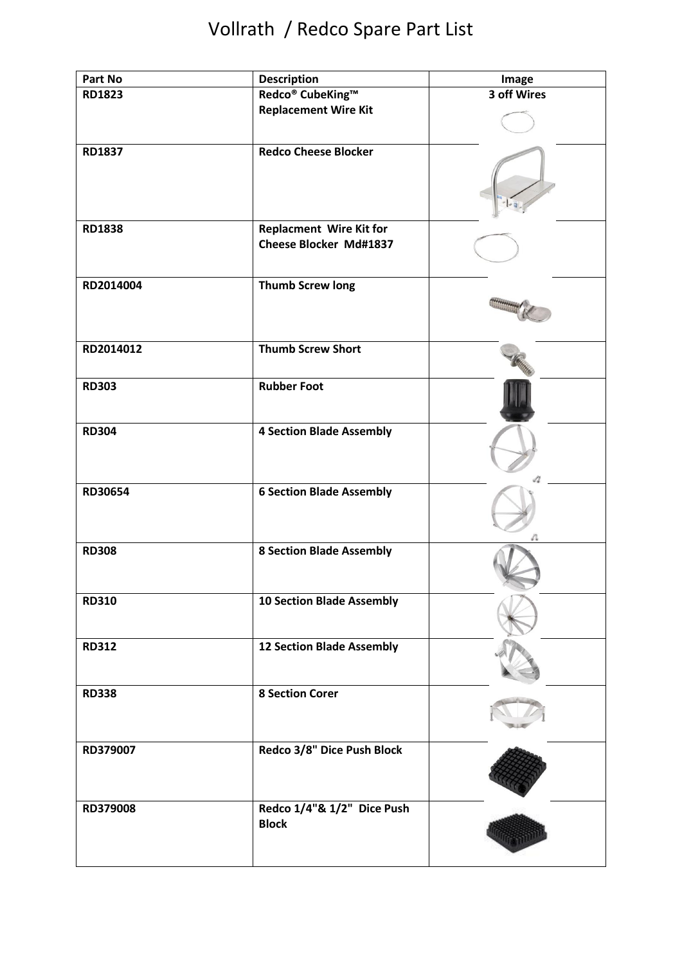| Part No       | <b>Description</b>                         | Image       |
|---------------|--------------------------------------------|-------------|
| <b>RD1823</b> | Redco <sup>®</sup> CubeKing™               | 3 off Wires |
|               | <b>Replacement Wire Kit</b>                |             |
| <b>RD1837</b> | <b>Redco Cheese Blocker</b>                |             |
|               |                                            |             |
| <b>RD1838</b> | <b>Replacment Wire Kit for</b>             |             |
|               | <b>Cheese Blocker Md#1837</b>              |             |
| RD2014004     | <b>Thumb Screw long</b>                    |             |
|               |                                            |             |
| RD2014012     | <b>Thumb Screw Short</b>                   |             |
| <b>RD303</b>  | <b>Rubber Foot</b>                         |             |
| <b>RD304</b>  | <b>4 Section Blade Assembly</b>            |             |
| RD30654       | <b>6 Section Blade Assembly</b>            |             |
| <b>RD308</b>  | <b>8 Section Blade Assembly</b>            |             |
| <b>RD310</b>  | <b>10 Section Blade Assembly</b>           |             |
| <b>RD312</b>  | <b>12 Section Blade Assembly</b>           |             |
| <b>RD338</b>  | <b>8 Section Corer</b>                     |             |
| RD379007      | Redco 3/8" Dice Push Block                 |             |
| RD379008      | Redco 1/4"& 1/2" Dice Push<br><b>Block</b> |             |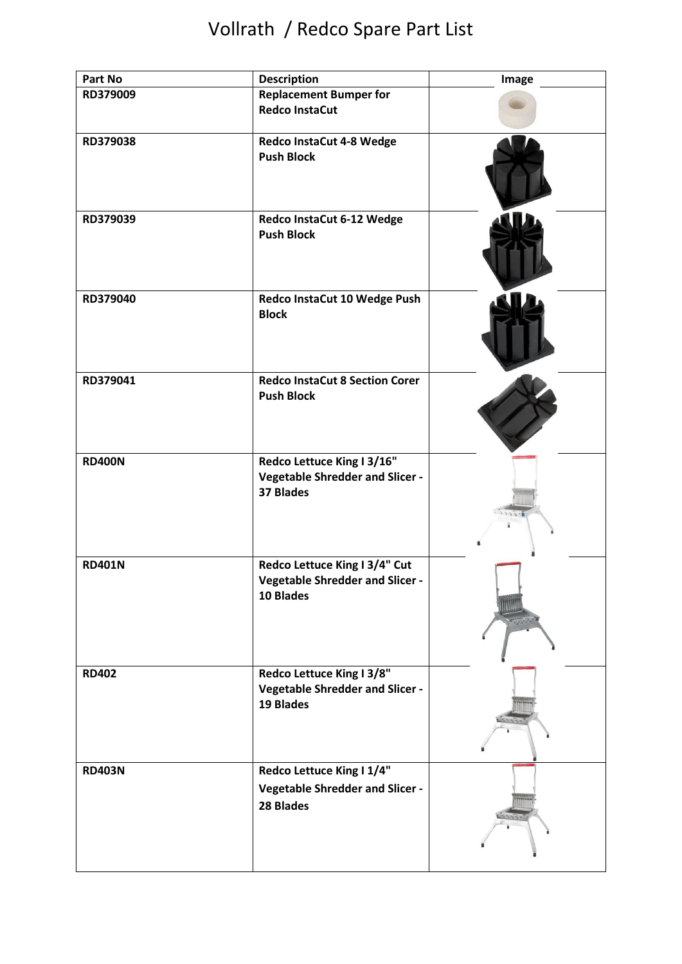| Part No       | <b>Description</b>                     | Image |
|---------------|----------------------------------------|-------|
| RD379009      | <b>Replacement Bumper for</b>          |       |
|               | <b>Redco InstaCut</b>                  |       |
|               |                                        |       |
| RD379038      | Redco InstaCut 4-8 Wedge               |       |
|               | <b>Push Block</b>                      |       |
|               |                                        |       |
|               |                                        |       |
|               |                                        |       |
| RD379039      | Redco InstaCut 6-12 Wedge              |       |
|               | <b>Push Block</b>                      |       |
|               |                                        |       |
|               |                                        |       |
|               |                                        |       |
| RD379040      | Redco InstaCut 10 Wedge Push           |       |
|               | <b>Block</b>                           |       |
|               |                                        |       |
|               |                                        |       |
|               |                                        |       |
|               |                                        |       |
| RD379041      | <b>Redco InstaCut 8 Section Corer</b>  |       |
|               | <b>Push Block</b>                      |       |
|               |                                        |       |
|               |                                        |       |
|               |                                        |       |
| <b>RD400N</b> | Redco Lettuce King I 3/16"             |       |
|               | <b>Vegetable Shredder and Slicer -</b> |       |
|               | <b>37 Blades</b>                       |       |
|               |                                        |       |
|               |                                        |       |
|               |                                        |       |
| <b>RD401N</b> | Redco Lettuce King I 3/4" Cut          |       |
|               | <b>Vegetable Shredder and Slicer -</b> |       |
|               | 10 Blades                              |       |
|               |                                        |       |
|               |                                        |       |
|               |                                        |       |
|               |                                        |       |
| <b>RD402</b>  | Redco Lettuce King I 3/8"              |       |
|               | <b>Vegetable Shredder and Slicer -</b> |       |
|               | 19 Blades                              |       |
|               |                                        |       |
|               |                                        |       |
|               |                                        |       |
| <b>RD403N</b> | Redco Lettuce King I 1/4"              |       |
|               |                                        |       |
|               | <b>Vegetable Shredder and Slicer -</b> |       |
|               | 28 Blades                              |       |
|               |                                        |       |
|               |                                        |       |
|               |                                        |       |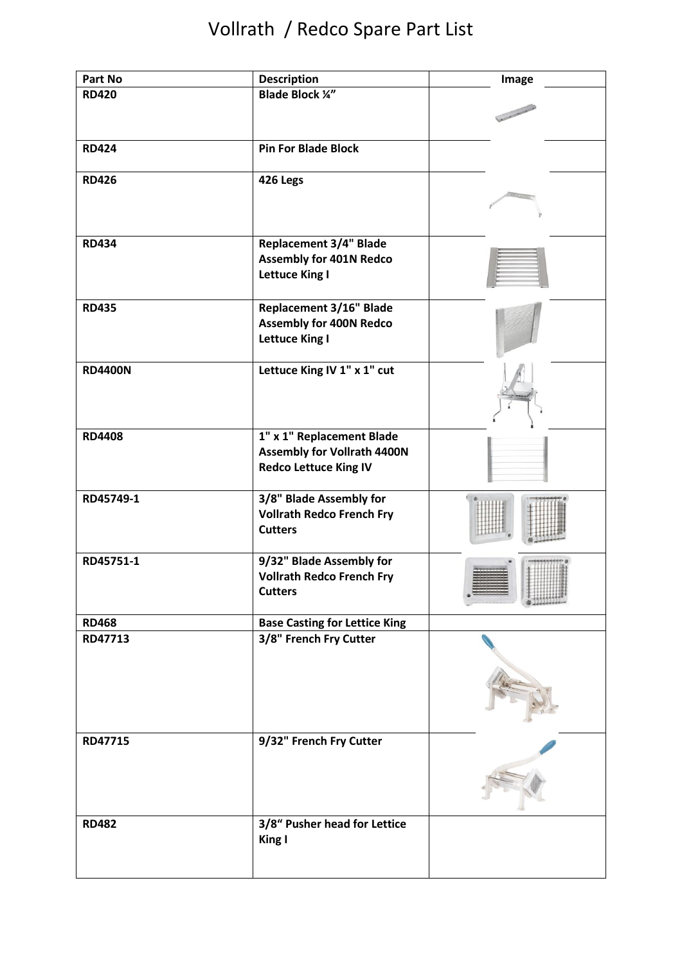| Part No        | <b>Description</b>                                           | Image |
|----------------|--------------------------------------------------------------|-------|
| <b>RD420</b>   | <b>Blade Block 1/4"</b>                                      |       |
|                |                                                              |       |
|                |                                                              |       |
|                |                                                              |       |
| <b>RD424</b>   | <b>Pin For Blade Block</b>                                   |       |
|                |                                                              |       |
| <b>RD426</b>   | 426 Legs                                                     |       |
|                |                                                              |       |
|                |                                                              |       |
|                |                                                              |       |
| <b>RD434</b>   | <b>Replacement 3/4" Blade</b>                                |       |
|                | <b>Assembly for 401N Redco</b>                               |       |
|                | <b>Lettuce King I</b>                                        |       |
|                |                                                              |       |
| <b>RD435</b>   | <b>Replacement 3/16" Blade</b>                               |       |
|                | <b>Assembly for 400N Redco</b>                               |       |
|                | <b>Lettuce King I</b>                                        |       |
|                |                                                              |       |
| <b>RD4400N</b> | Lettuce King IV 1" x 1" cut                                  |       |
|                |                                                              |       |
|                |                                                              |       |
|                |                                                              |       |
| <b>RD4408</b>  | 1" x 1" Replacement Blade                                    |       |
|                | <b>Assembly for Vollrath 4400N</b>                           |       |
|                | <b>Redco Lettuce King IV</b>                                 |       |
|                |                                                              |       |
| RD45749-1      | 3/8" Blade Assembly for                                      |       |
|                | <b>Vollrath Redco French Fry</b>                             |       |
|                | <b>Cutters</b>                                               |       |
|                |                                                              |       |
| RD45751-1      | 9/32" Blade Assembly for<br><b>Vollrath Redco French Fry</b> |       |
|                | <b>Cutters</b>                                               |       |
|                |                                                              |       |
| <b>RD468</b>   | <b>Base Casting for Lettice King</b>                         |       |
| RD47713        | 3/8" French Fry Cutter                                       |       |
|                |                                                              |       |
|                |                                                              |       |
|                |                                                              |       |
|                |                                                              |       |
|                |                                                              |       |
|                |                                                              |       |
| RD47715        | 9/32" French Fry Cutter                                      |       |
|                |                                                              |       |
|                |                                                              |       |
|                |                                                              |       |
|                |                                                              |       |
| <b>RD482</b>   | 3/8" Pusher head for Lettice                                 |       |
|                | King I                                                       |       |
|                |                                                              |       |
|                |                                                              |       |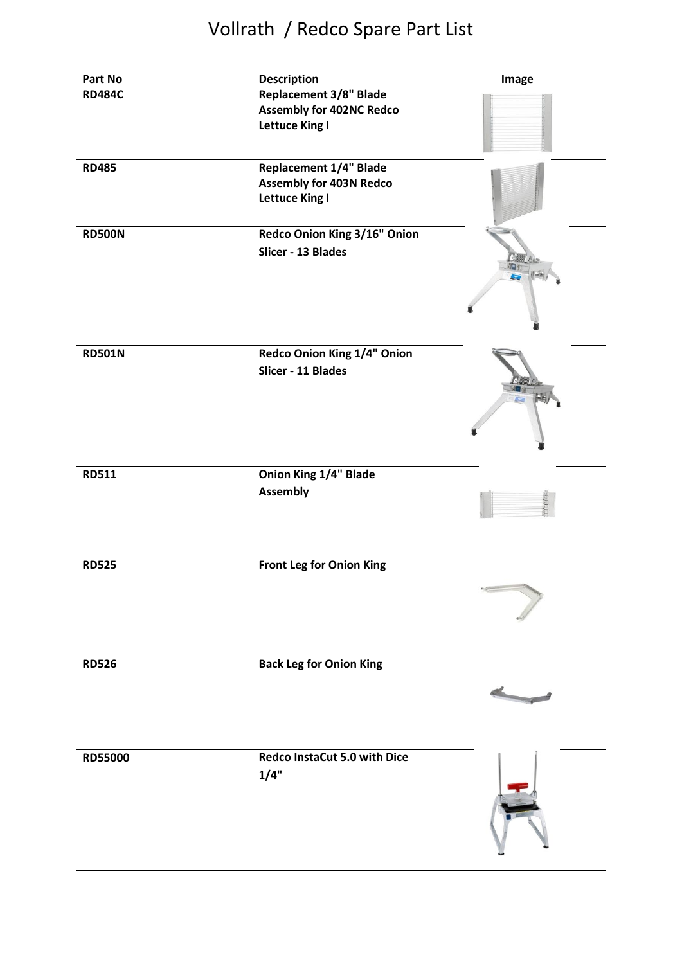| Part No        | <b>Description</b>                                                                        | Image |
|----------------|-------------------------------------------------------------------------------------------|-------|
| <b>RD484C</b>  | <b>Replacement 3/8" Blade</b><br><b>Assembly for 402NC Redco</b><br><b>Lettuce King I</b> |       |
| <b>RD485</b>   | <b>Replacement 1/4" Blade</b><br><b>Assembly for 403N Redco</b><br><b>Lettuce King I</b>  |       |
| <b>RD500N</b>  | Redco Onion King 3/16" Onion<br>Slicer - 13 Blades                                        |       |
| <b>RD501N</b>  | Redco Onion King 1/4" Onion<br>Slicer - 11 Blades                                         |       |
| <b>RD511</b>   | Onion King 1/4" Blade<br><b>Assembly</b>                                                  |       |
| <b>RD525</b>   | <b>Front Leg for Onion King</b>                                                           |       |
| <b>RD526</b>   | <b>Back Leg for Onion King</b>                                                            |       |
| <b>RD55000</b> | Redco InstaCut 5.0 with Dice<br>1/4"                                                      |       |